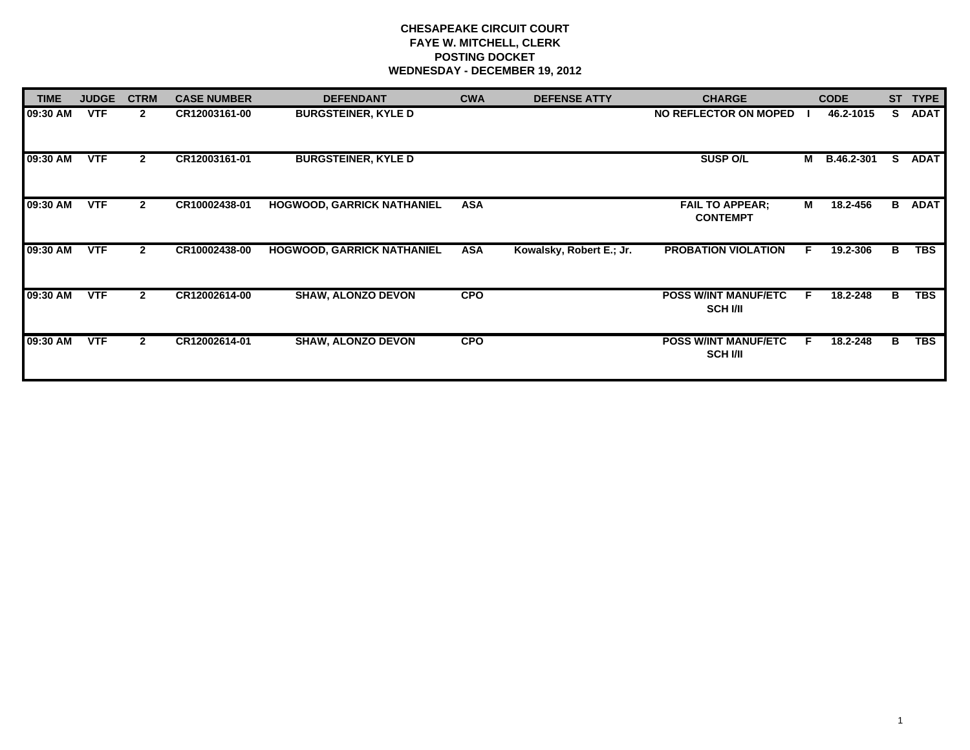## **CHESAPEAKE CIRCUIT COURT FAYE W. MITCHELL, CLERK POSTING DOCKET WEDNESDAY - DECEMBER 19, 2012**

| <b>TIME</b> | <b>JUDGE</b> | <b>CTRM</b>    | <b>CASE NUMBER</b> | <b>DEFENDANT</b>                  | <b>CWA</b> | <b>DEFENSE ATTY</b>      | <b>CHARGE</b>                                  |    | <b>CODE</b> | <b>ST</b> | <b>TYPE</b> |
|-------------|--------------|----------------|--------------------|-----------------------------------|------------|--------------------------|------------------------------------------------|----|-------------|-----------|-------------|
| 09:30 AM    | <b>VTF</b>   | $\mathbf{2}$   | CR12003161-00      | <b>BURGSTEINER, KYLE D</b>        |            |                          | NO REFLECTOR ON MOPED                          |    | 46.2-1015   | S.        | <b>ADAT</b> |
| 09:30 AM    | <b>VTF</b>   | $\mathbf{2}$   | CR12003161-01      | <b>BURGSTEINER, KYLE D</b>        |            |                          | <b>SUSP O/L</b>                                | М  | B.46.2-301  | S.        | <b>ADAT</b> |
| 09:30 AM    | <b>VTF</b>   | $\mathbf{2}$   | CR10002438-01      | <b>HOGWOOD, GARRICK NATHANIEL</b> | <b>ASA</b> |                          | <b>FAIL TO APPEAR:</b><br><b>CONTEMPT</b>      | М  | 18.2-456    | в         | <b>ADAT</b> |
| 09:30 AM    | <b>VTF</b>   | $\mathbf{2}$   | CR10002438-00      | <b>HOGWOOD, GARRICK NATHANIEL</b> | <b>ASA</b> | Kowalsky, Robert E.; Jr. | <b>PROBATION VIOLATION</b>                     | F. | 19.2-306    | В         | <b>TBS</b>  |
| 09:30 AM    | <b>VTF</b>   | $\overline{2}$ | CR12002614-00      | <b>SHAW, ALONZO DEVON</b>         | <b>CPO</b> |                          | <b>POSS W/INT MANUF/ETC</b><br><b>SCH I/II</b> | F. | 18.2-248    | в         | <b>TBS</b>  |
| 09:30 AM    | <b>VTF</b>   | $\overline{2}$ | CR12002614-01      | <b>SHAW, ALONZO DEVON</b>         | <b>CPO</b> |                          | <b>POSS W/INT MANUF/ETC</b><br><b>SCH I/II</b> | E  | 18.2-248    | в         | <b>TBS</b>  |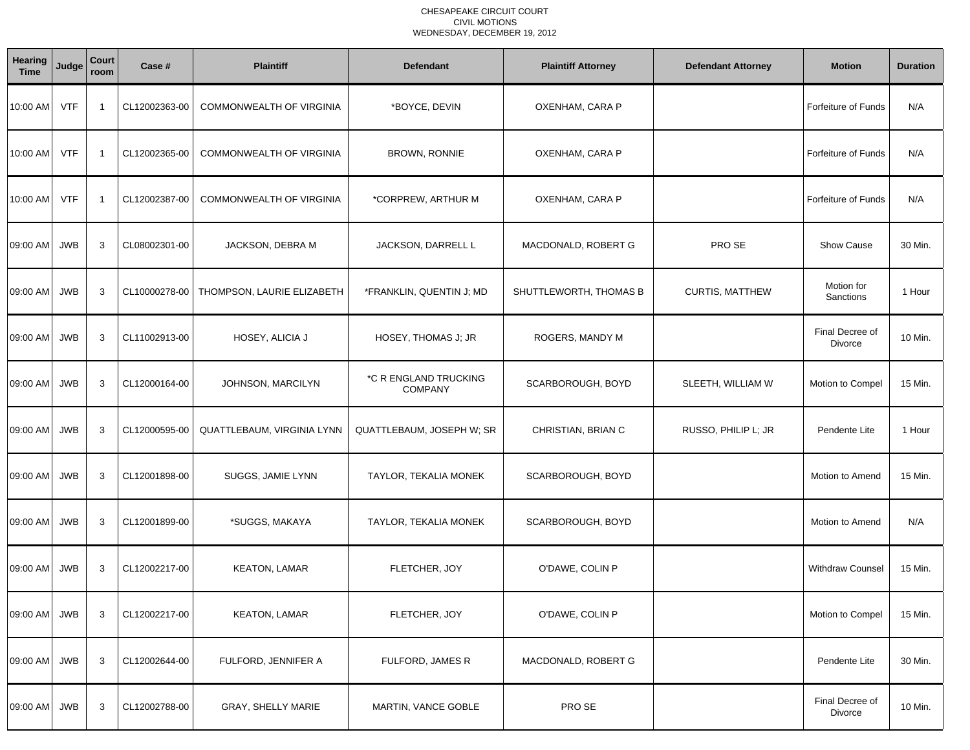## CHESAPEAKE CIRCUIT COURT CIVIL MOTIONSWEDNESDAY, DECEMBER 19, 2012

| Hearing<br><b>Time</b> | Judge      | Court<br>room | Case #        | <b>Plaintiff</b>                | <b>Defendant</b>                        | <b>Plaintiff Attorney</b> | <b>Defendant Attorney</b> | <b>Motion</b>              | <b>Duration</b> |
|------------------------|------------|---------------|---------------|---------------------------------|-----------------------------------------|---------------------------|---------------------------|----------------------------|-----------------|
| 10:00 AM               | <b>VTF</b> | - 1           | CL12002363-00 | COMMONWEALTH OF VIRGINIA        | *BOYCE, DEVIN                           | OXENHAM, CARA P           |                           | <b>Forfeiture of Funds</b> | N/A             |
| 10:00 AM               | <b>VTF</b> | -1            | CL12002365-00 | <b>COMMONWEALTH OF VIRGINIA</b> | <b>BROWN, RONNIE</b>                    | OXENHAM, CARA P           |                           | <b>Forfeiture of Funds</b> | N/A             |
| 10:00 AM               | <b>VTF</b> | -1            | CL12002387-00 | <b>COMMONWEALTH OF VIRGINIA</b> | *CORPREW, ARTHUR M                      | OXENHAM, CARA P           |                           | Forfeiture of Funds        | N/A             |
| 09:00 AM               | <b>JWB</b> | 3             | CL08002301-00 | JACKSON, DEBRA M                | JACKSON, DARRELL L                      | MACDONALD, ROBERT G       | PRO SE                    | <b>Show Cause</b>          | 30 Min.         |
| 09:00 AM               | <b>JWB</b> | 3             | CL10000278-00 | THOMPSON, LAURIE ELIZABETH      | *FRANKLIN, QUENTIN J; MD                | SHUTTLEWORTH, THOMAS B    | <b>CURTIS, MATTHEW</b>    | Motion for<br>Sanctions    | 1 Hour          |
| 09:00 AM               | <b>JWB</b> | 3             | CL11002913-00 | HOSEY, ALICIA J                 | HOSEY, THOMAS J; JR                     | ROGERS, MANDY M           |                           | Final Decree of<br>Divorce | 10 Min.         |
| 09:00 AM               | <b>JWB</b> | 3             | CL12000164-00 | JOHNSON, MARCILYN               | *C R ENGLAND TRUCKING<br><b>COMPANY</b> | SCARBOROUGH, BOYD         | SLEETH, WILLIAM W         | Motion to Compel           | 15 Min.         |
| 09:00 AM               | <b>JWB</b> | 3             | CL12000595-00 | QUATTLEBAUM, VIRGINIA LYNN      | QUATTLEBAUM, JOSEPH W; SR               | CHRISTIAN, BRIAN C        | RUSSO, PHILIP L; JR       | Pendente Lite              | 1 Hour          |
| 09:00 AM               | <b>JWB</b> | 3             | CL12001898-00 | SUGGS, JAMIE LYNN               | TAYLOR, TEKALIA MONEK                   | SCARBOROUGH, BOYD         |                           | Motion to Amend            | 15 Min.         |
| 09:00 AM               | <b>JWB</b> | 3             | CL12001899-00 | *SUGGS, MAKAYA                  | TAYLOR, TEKALIA MONEK                   | SCARBOROUGH, BOYD         |                           | Motion to Amend            | N/A             |
| 09:00 AM               | <b>JWB</b> | 3             | CL12002217-00 | <b>KEATON, LAMAR</b>            | FLETCHER, JOY                           | O'DAWE, COLIN P           |                           | <b>Withdraw Counsel</b>    | 15 Min.         |
| 09:00 AM               | JWB        | 3             | CL12002217-00 | <b>KEATON, LAMAR</b>            | FLETCHER, JOY                           | O'DAWE, COLIN P           |                           | Motion to Compel           | 15 Min.         |
| 09:00 AM               | <b>JWB</b> | 3             | CL12002644-00 | FULFORD, JENNIFER A             | FULFORD, JAMES R                        | MACDONALD, ROBERT G       |                           | Pendente Lite              | 30 Min.         |
| 09:00 AM               | <b>JWB</b> | $\mathbf{3}$  | CL12002788-00 | GRAY, SHELLY MARIE              | MARTIN, VANCE GOBLE                     | PRO SE                    |                           | Final Decree of<br>Divorce | 10 Min.         |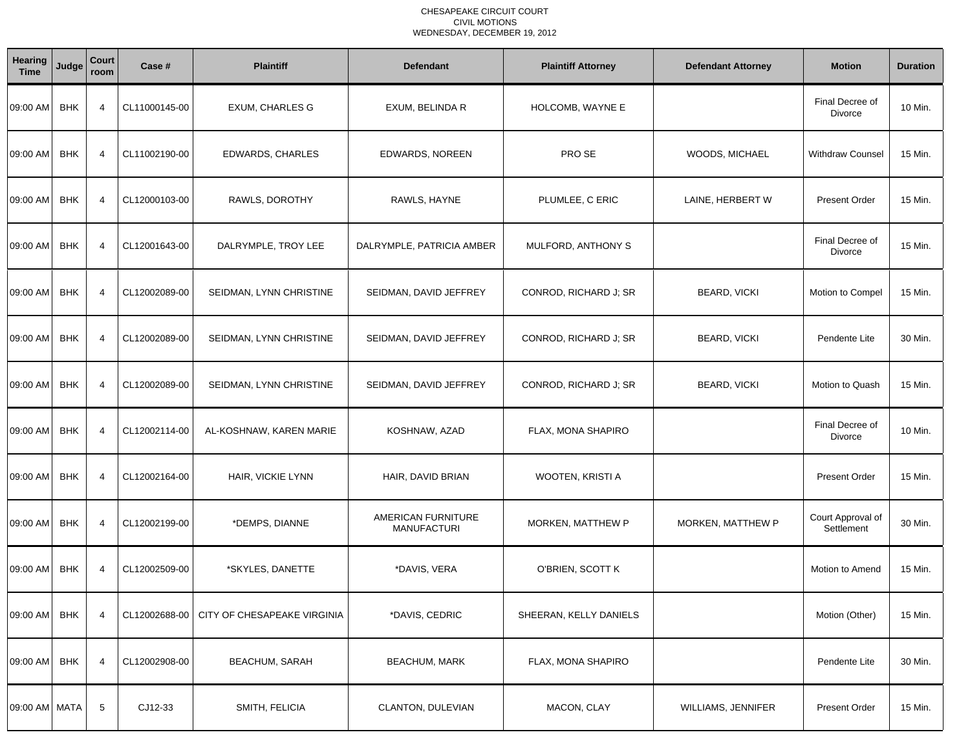## CHESAPEAKE CIRCUIT COURT CIVIL MOTIONSWEDNESDAY, DECEMBER 19, 2012

| <b>Hearing</b><br><b>Time</b> | Judge      | Court<br>room  | Case #        | <b>Plaintiff</b>            | <b>Defendant</b>                         | <b>Plaintiff Attorney</b> | <b>Defendant Attorney</b> | <b>Motion</b>                   | <b>Duration</b> |
|-------------------------------|------------|----------------|---------------|-----------------------------|------------------------------------------|---------------------------|---------------------------|---------------------------------|-----------------|
| 09:00 AM                      | <b>BHK</b> | $\overline{4}$ | CL11000145-00 | <b>EXUM, CHARLES G</b>      | EXUM, BELINDA R                          | HOLCOMB, WAYNE E          |                           | Final Decree of<br>Divorce      | 10 Min.         |
| 09:00 AM                      | <b>BHK</b> | $\overline{4}$ | CL11002190-00 | <b>EDWARDS, CHARLES</b>     | EDWARDS, NOREEN                          | PRO SE                    | WOODS, MICHAEL            | <b>Withdraw Counsel</b>         | 15 Min.         |
| 09:00 AM                      | <b>BHK</b> | $\overline{4}$ | CL12000103-00 | RAWLS, DOROTHY              | RAWLS, HAYNE                             | PLUMLEE, C ERIC           | LAINE, HERBERT W          | Present Order                   | 15 Min.         |
| 09:00 AM                      | <b>BHK</b> | $\overline{4}$ | CL12001643-00 | DALRYMPLE, TROY LEE         | DALRYMPLE, PATRICIA AMBER                | MULFORD, ANTHONY S        |                           | Final Decree of<br>Divorce      | 15 Min.         |
| 09:00 AM                      | <b>BHK</b> | $\overline{4}$ | CL12002089-00 | SEIDMAN, LYNN CHRISTINE     | SEIDMAN, DAVID JEFFREY                   | CONROD, RICHARD J; SR     | <b>BEARD, VICKI</b>       | Motion to Compel                | 15 Min.         |
| 09:00 AM                      | <b>BHK</b> | $\overline{4}$ | CL12002089-00 | SEIDMAN, LYNN CHRISTINE     | SEIDMAN, DAVID JEFFREY                   | CONROD, RICHARD J; SR     | <b>BEARD, VICKI</b>       | Pendente Lite                   | 30 Min.         |
| 09:00 AM                      | <b>BHK</b> | $\overline{4}$ | CL12002089-00 | SEIDMAN, LYNN CHRISTINE     | SEIDMAN, DAVID JEFFREY                   | CONROD, RICHARD J; SR     | <b>BEARD, VICKI</b>       | Motion to Quash                 | 15 Min.         |
| 09:00 AM                      | <b>BHK</b> | $\overline{4}$ | CL12002114-00 | AL-KOSHNAW, KAREN MARIE     | KOSHNAW, AZAD                            | FLAX, MONA SHAPIRO        |                           | Final Decree of<br>Divorce      | 10 Min.         |
| 09:00 AM                      | <b>BHK</b> | $\overline{4}$ | CL12002164-00 | HAIR, VICKIE LYNN           | HAIR, DAVID BRIAN                        | WOOTEN, KRISTI A          |                           | <b>Present Order</b>            | 15 Min.         |
| 09:00 AM                      | <b>BHK</b> | 4              | CL12002199-00 | *DEMPS, DIANNE              | AMERICAN FURNITURE<br><b>MANUFACTURI</b> | MORKEN, MATTHEW P         | MORKEN, MATTHEW P         | Court Approval of<br>Settlement | 30 Min.         |
| 09:00 AM                      | <b>BHK</b> | $\overline{4}$ | CL12002509-00 | *SKYLES, DANETTE            | *DAVIS, VERA                             | O'BRIEN, SCOTT K          |                           | Motion to Amend                 | 15 Min.         |
| 09:00 AM                      | <b>BHK</b> | 4              | CL12002688-00 | CITY OF CHESAPEAKE VIRGINIA | *DAVIS, CEDRIC                           | SHEERAN, KELLY DANIELS    |                           | Motion (Other)                  | 15 Min.         |
| 09:00 AM                      | <b>BHK</b> | 4              | CL12002908-00 | <b>BEACHUM, SARAH</b>       | <b>BEACHUM, MARK</b>                     | FLAX, MONA SHAPIRO        |                           | Pendente Lite                   | 30 Min.         |
| 09:00 AM MATA                 |            | 5              | CJ12-33       | SMITH, FELICIA              | CLANTON, DULEVIAN                        | MACON, CLAY               | WILLIAMS, JENNIFER        | <b>Present Order</b>            | 15 Min.         |